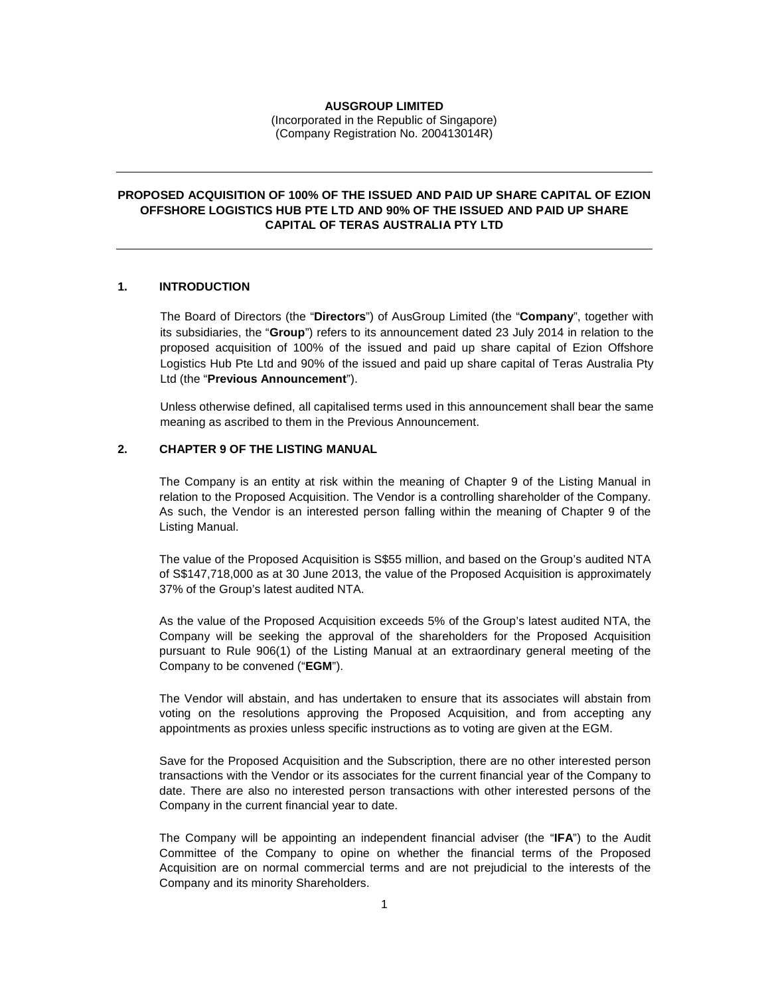#### **AUSGROUP LIMITED**

(Incorporated in the Republic of Singapore) (Company Registration No. 200413014R)

# **PROPOSED ACQUISITION OF 100% OF THE ISSUED AND PAID UP SHARE CAPITAL OF EZION OFFSHORE LOGISTICS HUB PTE LTD AND 90% OF THE ISSUED AND PAID UP SHARE CAPITAL OF TERAS AUSTRALIA PTY LTD**

### **1. INTRODUCTION**

The Board of Directors (the "**Directors**") of AusGroup Limited (the "**Company**", together with its subsidiaries, the "**Group**") refers to its announcement dated 23 July 2014 in relation to the proposed acquisition of 100% of the issued and paid up share capital of Ezion Offshore Logistics Hub Pte Ltd and 90% of the issued and paid up share capital of Teras Australia Pty Ltd (the "**Previous Announcement**").

Unless otherwise defined, all capitalised terms used in this announcement shall bear the same meaning as ascribed to them in the Previous Announcement.

# **2. CHAPTER 9 OF THE LISTING MANUAL**

The Company is an entity at risk within the meaning of Chapter 9 of the Listing Manual in relation to the Proposed Acquisition. The Vendor is a controlling shareholder of the Company. As such, the Vendor is an interested person falling within the meaning of Chapter 9 of the Listing Manual.

The value of the Proposed Acquisition is S\$55 million, and based on the Group's audited NTA of S\$147,718,000 as at 30 June 2013, the value of the Proposed Acquisition is approximately 37% of the Group's latest audited NTA.

As the value of the Proposed Acquisition exceeds 5% of the Group's latest audited NTA, the Company will be seeking the approval of the shareholders for the Proposed Acquisition pursuant to Rule 906(1) of the Listing Manual at an extraordinary general meeting of the Company to be convened ("**EGM**").

The Vendor will abstain, and has undertaken to ensure that its associates will abstain from voting on the resolutions approving the Proposed Acquisition, and from accepting any appointments as proxies unless specific instructions as to voting are given at the EGM.

Save for the Proposed Acquisition and the Subscription, there are no other interested person transactions with the Vendor or its associates for the current financial year of the Company to date. There are also no interested person transactions with other interested persons of the Company in the current financial year to date.

The Company will be appointing an independent financial adviser (the "**IFA**") to the Audit Committee of the Company to opine on whether the financial terms of the Proposed Acquisition are on normal commercial terms and are not prejudicial to the interests of the Company and its minority Shareholders.